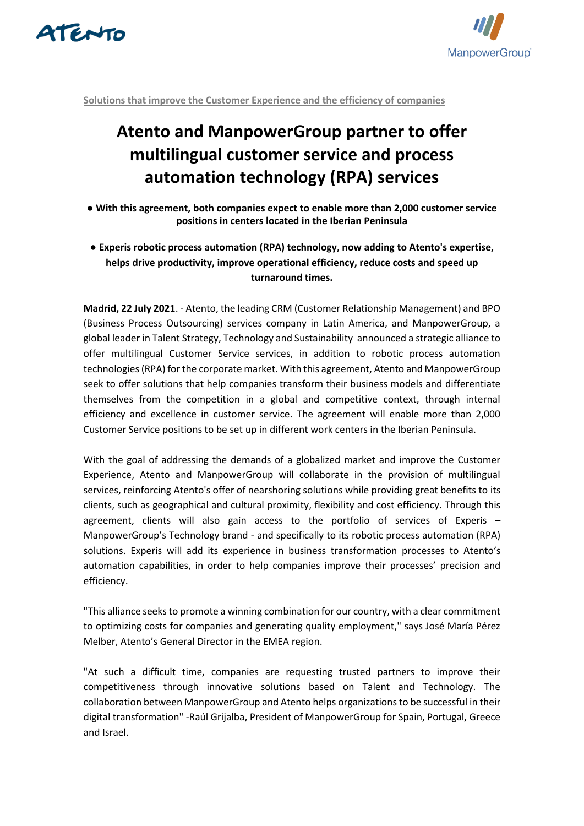



**Solutions that improve the Customer Experience and the efficiency of companies**

## **Atento and ManpowerGroup partner to offer multilingual customer service and process automation technology (RPA) services**

- **With this agreement, both companies expect to enable more than 2,000 customer service positions in centers located in the Iberian Peninsula**
- **Experis robotic process automation (RPA) technology, now adding to Atento's expertise, helps drive productivity, improve operational efficiency, reduce costs and speed up turnaround times.**

**Madrid, 22 July 2021**. - Atento, the leading CRM (Customer Relationship Management) and BPO (Business Process Outsourcing) services company in Latin America, and ManpowerGroup, a global leader in Talent Strategy, Technology and Sustainability announced a strategic alliance to offer multilingual Customer Service services, in addition to robotic process automation technologies (RPA) for the corporate market. With this agreement, Atento and ManpowerGroup seek to offer solutions that help companies transform their business models and differentiate themselves from the competition in a global and competitive context, through internal efficiency and excellence in customer service. The agreement will enable more than 2,000 Customer Service positions to be set up in different work centers in the Iberian Peninsula.

With the goal of addressing the demands of a globalized market and improve the Customer Experience, Atento and ManpowerGroup will collaborate in the provision of multilingual services, reinforcing Atento's offer of nearshoring solutions while providing great benefits to its clients, such as geographical and cultural proximity, flexibility and cost efficiency. Through this agreement, clients will also gain access to the portfolio of services of Experis – ManpowerGroup's Technology brand - and specifically to its robotic process automation (RPA) solutions. Experis will add its experience in business transformation processes to Atento's automation capabilities, in order to help companies improve their processes' precision and efficiency.

"This alliance seeks to promote a winning combination for our country, with a clear commitment to optimizing costs for companies and generating quality employment," says José María Pérez Melber, Atento's General Director in the EMEA region.

"At such a difficult time, companies are requesting trusted partners to improve their competitiveness through innovative solutions based on Talent and Technology. The collaboration between ManpowerGroup and Atento helps organizations to be successful in their digital transformation" -Raúl Grijalba, President of ManpowerGroup for Spain, Portugal, Greece and Israel.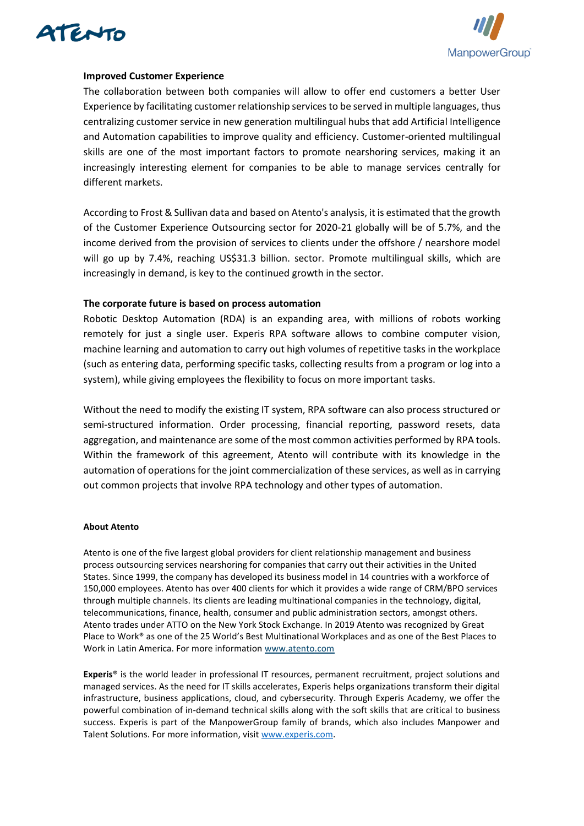



## **Improved Customer Experience**

The collaboration between both companies will allow to offer end customers a better User Experience by facilitating customer relationship services to be served in multiple languages, thus centralizing customer service in new generation multilingual hubs that add Artificial Intelligence and Automation capabilities to improve quality and efficiency. Customer-oriented multilingual skills are one of the most important factors to promote nearshoring services, making it an increasingly interesting element for companies to be able to manage services centrally for different markets.

According to Frost & Sullivan data and based on Atento's analysis, it is estimated that the growth of the Customer Experience Outsourcing sector for 2020-21 globally will be of 5.7%, and the income derived from the provision of services to clients under the offshore / nearshore model will go up by 7.4%, reaching US\$31.3 billion. sector. Promote multilingual skills, which are increasingly in demand, is key to the continued growth in the sector.

## **The corporate future is based on process automation**

Robotic Desktop Automation (RDA) is an expanding area, with millions of robots working remotely for just a single user. Experis RPA software allows to combine computer vision, machine learning and automation to carry out high volumes of repetitive tasks in the workplace (such as entering data, performing specific tasks, collecting results from a program or log into a system), while giving employees the flexibility to focus on more important tasks.

Without the need to modify the existing IT system, RPA software can also process structured or semi-structured information. Order processing, financial reporting, password resets, data aggregation, and maintenance are some of the most common activities performed by RPA tools. Within the framework of this agreement, Atento will contribute with its knowledge in the automation of operations for the joint commercialization of these services, as well as in carrying out common projects that involve RPA technology and other types of automation.

## **About Atento**

Atento is one of the five largest global providers for client relationship management and business process outsourcing services nearshoring for companies that carry out their activities in the United States. Since 1999, the company has developed its business model in 14 countries with a workforce of 150,000 employees. Atento has over 400 clients for which it provides a wide range of CRM/BPO services through multiple channels. Its clients are leading multinational companies in the technology, digital, telecommunications, finance, health, consumer and public administration sectors, amongst others. Atento trades under ATTO on the New York Stock Exchange. In 2019 Atento was recognized by Great Place to Work® as one of the 25 World's Best Multinational Workplaces and as one of the Best Places to Work in Latin America. For more information [www.atento.com](https://www.atento.com/)

**Experis**® is the world leader in professional IT resources, permanent recruitment, project solutions and managed services. As the need for IT skills accelerates, Experis helps organizations transform their digital infrastructure, business applications, cloud, and cybersecurity. Through Experis Academy, we offer the powerful combination of in-demand technical skills along with the soft skills that are critical to business success. Experis is part of the ManpowerGroup family of brands, which also includes Manpower and Talent Solutions. For more information, visi[t www.experis.com.](http://www.experis.com/)